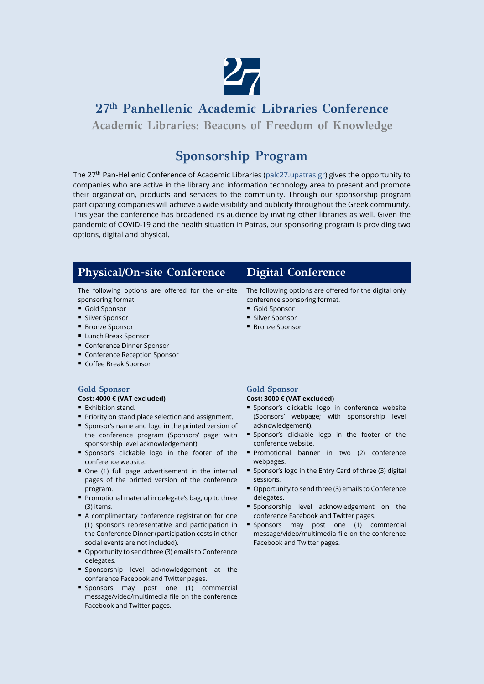

**27th Panhellenic Academic Libraries Conference**

**Academic Libraries: Beacons of Freedom of Knowledge**

# **Sponsorship Program**

The 27th Pan-Hellenic Conference of Academic Libraries (palc27.upatras.gr) gives the opportunity to companies who are active in the library and information technology area to present and promote their organization, products and services to the community. Through our sponsorship program participating companies will achieve a wide visibility and publicity throughout the Greek community. This year the conference has broadened its audience by inviting other libraries as well. Given the pandemic of COVID-19 and the health situation in Patras, our sponsoring program is providing two options, digital and physical.

| <b>Physical/On-site Conference</b>                                                                                                                                                                                                                                                                                                                                                                                                                                                                                                                                                                                                                                                                                                                                                                                                                                                                                                                                                                                                                 | <b>Digital Conference</b>                                                                                                                                                                                                                                                                                                                                                                                                                                                                                                                                                                                                                                                        |
|----------------------------------------------------------------------------------------------------------------------------------------------------------------------------------------------------------------------------------------------------------------------------------------------------------------------------------------------------------------------------------------------------------------------------------------------------------------------------------------------------------------------------------------------------------------------------------------------------------------------------------------------------------------------------------------------------------------------------------------------------------------------------------------------------------------------------------------------------------------------------------------------------------------------------------------------------------------------------------------------------------------------------------------------------|----------------------------------------------------------------------------------------------------------------------------------------------------------------------------------------------------------------------------------------------------------------------------------------------------------------------------------------------------------------------------------------------------------------------------------------------------------------------------------------------------------------------------------------------------------------------------------------------------------------------------------------------------------------------------------|
| The following options are offered for the on-site<br>sponsoring format.<br>Gold Sponsor<br>■ Silver Sponsor<br>■ Bronze Sponsor<br><b>Lunch Break Sponsor</b><br>" Conference Dinner Sponsor<br>" Conference Reception Sponsor<br>Coffee Break Sponsor                                                                                                                                                                                                                                                                                                                                                                                                                                                                                                                                                                                                                                                                                                                                                                                             | The following options are offered for the digital only<br>conference sponsoring format.<br>Gold Sponsor<br><b>Silver Sponsor</b><br>■ Bronze Sponsor                                                                                                                                                                                                                                                                                                                                                                                                                                                                                                                             |
| <b>Gold Sponsor</b><br>Cost: 4000 € (VAT excluded)<br>■ Exhibition stand.<br>Priority on stand place selection and assignment.<br>" Sponsor's name and logo in the printed version of<br>the conference program (Sponsors' page; with<br>sponsorship level acknowledgement).<br>" Sponsor's clickable logo in the footer of the<br>conference website.<br>One (1) full page advertisement in the internal<br>pages of the printed version of the conference<br>program.<br>Promotional material in delegate's bag; up to three<br>(3) items.<br>A complimentary conference registration for one<br>(1) sponsor's representative and participation in<br>the Conference Dinner (participation costs in other<br>social events are not included).<br>• Opportunity to send three (3) emails to Conference<br>delegates.<br>" Sponsorship level acknowledgement at the<br>conference Facebook and Twitter pages.<br>■ Sponsors<br>may post<br>(1) commercial<br>one<br>message/video/multimedia file on the conference<br>Facebook and Twitter pages. | <b>Gold Sponsor</b><br>Cost: 3000 € (VAT excluded)<br>" Sponsor's clickable logo in conference website<br>(Sponsors' webpage; with sponsorship level<br>acknowledgement).<br>" Sponsor's clickable logo in the footer of the<br>conference website.<br>Promotional banner in two (2) conference<br>webpages.<br>Sponsor's logo in the Entry Card of three (3) digital<br>sessions.<br>• Opportunity to send three (3) emails to Conference<br>delegates.<br>" Sponsorship level acknowledgement on the<br>conference Facebook and Twitter pages.<br>Sponsors may<br>post one (1)<br>commercial<br>message/video/multimedia file on the conference<br>Facebook and Twitter pages. |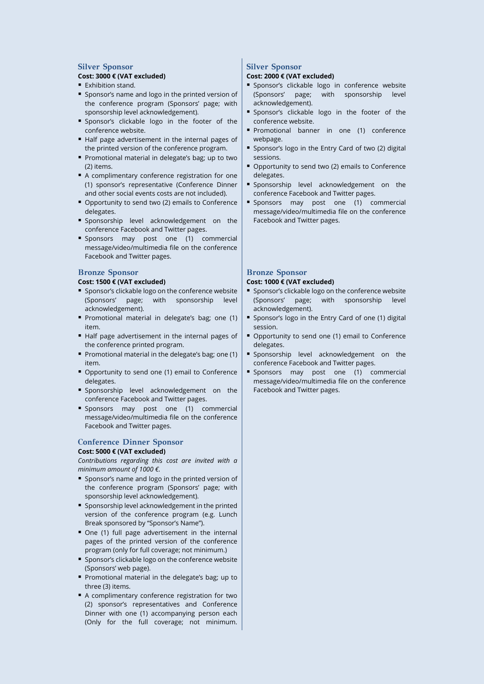#### **Silver Sponsor Cost: 3000 € (VAT excluded)**

- **Exhibition stand.**
- **Sponsor's name and logo in the printed version of** the conference program (Sponsors' page; with sponsorship level acknowledgement).
- **Sponsor's clickable logo in the footer of the** conference website.
- Half page advertisement in the internal pages of the printed version of the conference program.
- **Promotional material in delegate's bag; up to two** (2) items.
- A complimentary conference registration for one (1) sponsor's representative (Conference Dinner and other social events costs are not included).
- **Opportunity to send two (2) emails to Conference** delegates.
- **Sponsorship level acknowledgement on the** conference Facebook and Twitter pages.
- **Sponsors may post one (1) commercial** message/video/multimedia file on the conference Facebook and Twitter pages.

#### **Bronze Sponsor**

#### **Cost: 1500 € (VAT excluded)**

- **Sponsor's clickable logo on the conference website** (Sponsors' page; with sponsorship level acknowledgement).
- **Promotional material in delegate's bag; one (1)** item.
- Half page advertisement in the internal pages of the conference printed program.
- **Promotional material in the delegate's bag; one (1)** item.
- **Opportunity to send one (1) email to Conference** delegates.
- **Sponsorship level acknowledgement on the** conference Facebook and Twitter pages.
- **Sponsors may post one (1) commercial** message/video/multimedia file on the conference Facebook and Twitter pages.

### **Conference Dinner Sponsor**

#### **Cost: 5000 € (VAT excluded)**

*Contributions regarding this cost are invited with a minimum amount of 1000 €.*

- **Sponsor's name and logo in the printed version of** the conference program (Sponsors' page; with sponsorship level acknowledgement).
- **Sponsorship level acknowledgement in the printed** version of the conference program (e.g. Lunch Break sponsored by "Sponsor's Name").
- One (1) full page advertisement in the internal pages of the printed version of the conference program (only for full coverage; not minimum.)
- **Sponsor's clickable logo on the conference website** (Sponsors' web page).
- Promotional material in the delegate's bag; up to three (3) items.
- A complimentary conference registration for two (2) sponsor's representatives and Conference Dinner with one (1) accompanying person each (Only for the full coverage; not minimum.

#### **Silver Sponsor**

#### **Cost: 2000 € (VAT excluded)**

- **Sponsor's clickable logo in conference website** (Sponsors' page; with sponsorship level acknowledgement).
- **Sponsor's clickable logo in the footer of the** conference website.
- **Promotional banner in one (1) conference** webpage.
- **Sponsor's logo in the Entry Card of two (2) digital** sessions.
- Opportunity to send two (2) emails to Conference delegates.
- **Sponsorship level acknowledgement on the** conference Facebook and Twitter pages.
- **Sponsors may post one (1) commercial** message/video/multimedia file on the conference Facebook and Twitter pages.

### **Bronze Sponsor**

#### **Cost: 1000 € (VAT excluded)**

- **Sponsor's clickable logo on the conference website** (Sponsors' page; with sponsorship level acknowledgement).
- Sponsor's logo in the Entry Card of one (1) digital session.
- **Opportunity to send one (1) email to Conference** delegates.
- **Sponsorship level acknowledgement on the** conference Facebook and Twitter pages.
- **Sponsors may post one (1) commercial** message/video/multimedia file on the conference Facebook and Twitter pages.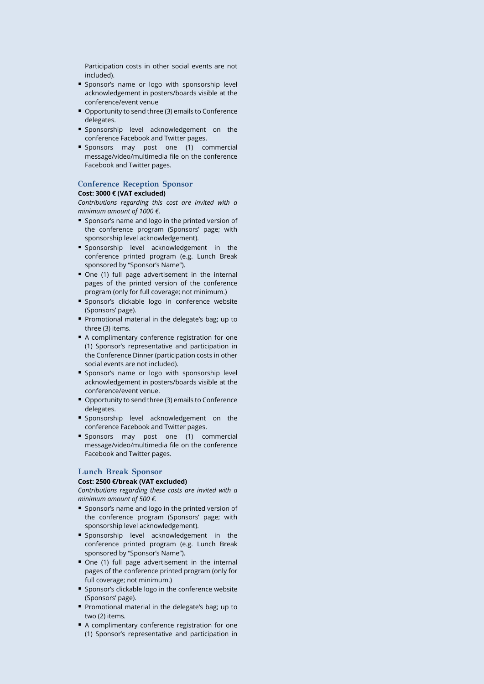Participation costs in other social events are not included).

- **Sponsor's name or logo with sponsorship level** acknowledgement in posters/boards visible at the conference/event venue
- **Opportunity to send three (3) emails to Conference** delegates.
- **Sponsorship level acknowledgement on the** conference Facebook and Twitter pages.
- **Sponsors may post one (1) commercial** message/video/multimedia file on the conference Facebook and Twitter pages.

#### **Conference Reception Sponsor Cost: 3000 € (VAT excluded)**

*Contributions regarding this cost are invited with a minimum amount of 1000 €.*

- **Sponsor's name and logo in the printed version of** the conference program (Sponsors' page; with sponsorship level acknowledgement).
- **Sponsorship level acknowledgement in the** conference printed program (e.g. Lunch Break sponsored by "Sponsor's Name").
- One (1) full page advertisement in the internal pages of the printed version of the conference program (only for full coverage; not minimum.)
- **Sponsor's clickable logo in conference website** (Sponsors' page).
- **Promotional material in the delegate's bag: up to** three (3) items.
- A complimentary conference registration for one (1) Sponsor's representative and participation in the Conference Dinner (participation costs in other social events are not included).
- **Sponsor's name or logo with sponsorship level** acknowledgement in posters/boards visible at the conference/event venue.
- **Opportunity to send three (3) emails to Conference** delegates.
- **Sponsorship level acknowledgement on the** conference Facebook and Twitter pages.
- **Sponsors may post one (1) commercial** message/video/multimedia file on the conference Facebook and Twitter pages.

## **Lunch Break Sponsor**

#### **Cost: 2500 €/break (VAT excluded)**

*Contributions regarding these costs are invited with a minimum amount of 500 €.*

- **Sponsor's name and logo in the printed version of** the conference program (Sponsors' page; with sponsorship level acknowledgement).
- **Sponsorship level acknowledgement in the** conference printed program (e.g. Lunch Break sponsored by "Sponsor's Name").
- One (1) full page advertisement in the internal pages of the conference printed program (only for full coverage; not minimum.)
- **Sponsor's clickable logo in the conference website** (Sponsors' page).
- Promotional material in the delegate's bag; up to two (2) items.
- A complimentary conference registration for one (1) Sponsor's representative and participation in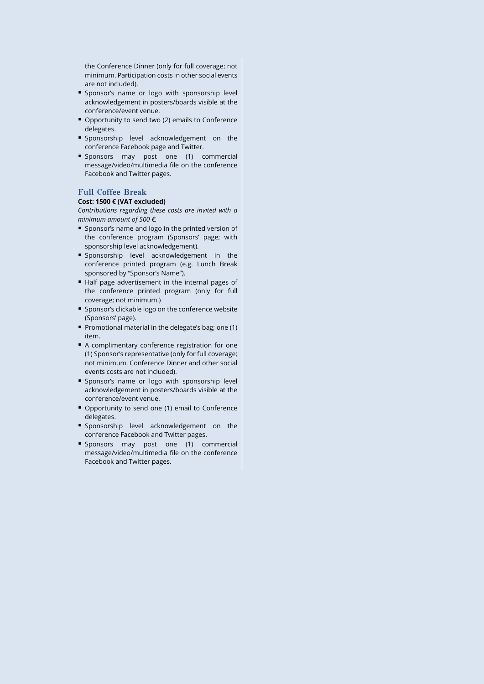the Conference Dinner (only for full coverage; not minimum. Participation costs in other social events are not included).

- **Sponsor's name or logo with sponsorship level** acknowledgement in posters/boards visible at the conference/event venue.
- Opportunity to send two (2) emails to Conference delegates.
- **Sponsorship level acknowledgement on the** conference Facebook page and Twitter.
- **Sponsors may post one (1) commercial** message/video/multimedia file on the conference Facebook and Twitter pages.

#### **Full Coffee Break**

#### **Cost: 1500 € (VAT excluded)**

*Contributions regarding these costs are invited with a minimum amount of 500 €.*

- Sponsor's name and logo in the printed version of the conference program (Sponsors' page; with sponsorship level acknowledgement).
- **Sponsorship** level acknowledgement in the conference printed program (e.g. Lunch Break sponsored by "Sponsor's Name").
- Half page advertisement in the internal pages of the conference printed program (only for full coverage; not minimum.)
- **Sponsor's clickable logo on the conference website** (Sponsors' page).
- **Promotional material in the delegate's bag; one (1)** item.
- A complimentary conference registration for one (1) Sponsor's representative (only for full coverage; not minimum. Conference Dinner and other social events costs are not included).
- **Sponsor's name or logo with sponsorship level** acknowledgement in posters/boards visible at the conference/event venue.
- Opportunity to send one (1) email to Conference delegates.
- **Sponsorship level acknowledgement on the** conference Facebook and Twitter pages.
- **Sponsors may post one (1) commercial** message/video/multimedia file on the conference Facebook and Twitter pages.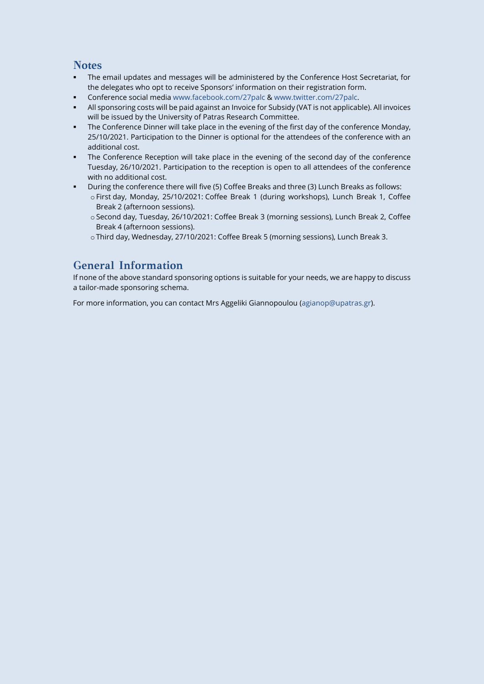## **Notes**

- The email updates and messages will be administered by the Conference Host Secretariat, for the delegates who opt to receive Sponsors' information on their registration form.
- Conference social media [www.facebook.com/27palc](http://www.facebook.com/27palc) [& www.twitter.com/27palc.](http://www.twitter.com/27palc)
- All sponsoring costs will be paid against an Invoice for Subsidy (VAT is not applicable). All invoices will be issued by the University of Patras Research Committee.
- The Conference Dinner will take place in the evening of the first day of the conference Monday, 25/10/2021. Participation to the Dinner is optional for the attendees of the conference with an additional cost.
- The Conference Reception will take place in the evening of the second day of the conference Tuesday, 26/10/2021. Participation to the reception is open to all attendees of the conference with no additional cost.
- During the conference there will five (5) Coffee Breaks and three (3) Lunch Breaks as follows:
	- o First day, Monday, 25/10/2021: Coffee Break 1 (during workshops), Lunch Break 1, Coffee Break 2 (afternoon sessions).
	- o Second day, Tuesday, 26/10/2021: Coffee Break 3 (morning sessions), Lunch Break 2, Coffee Break 4 (afternoon sessions).
	- o Third day, Wednesday, 27/10/2021: Coffee Break 5 (morning sessions), Lunch Break 3.

## **General Information**

If none of the above standard sponsoring options is suitable for your needs, we are happy to discuss a tailor-made sponsoring schema.

For more information, you can contact Mrs Aggeliki Giannopoulou (agianop@upatras.gr).